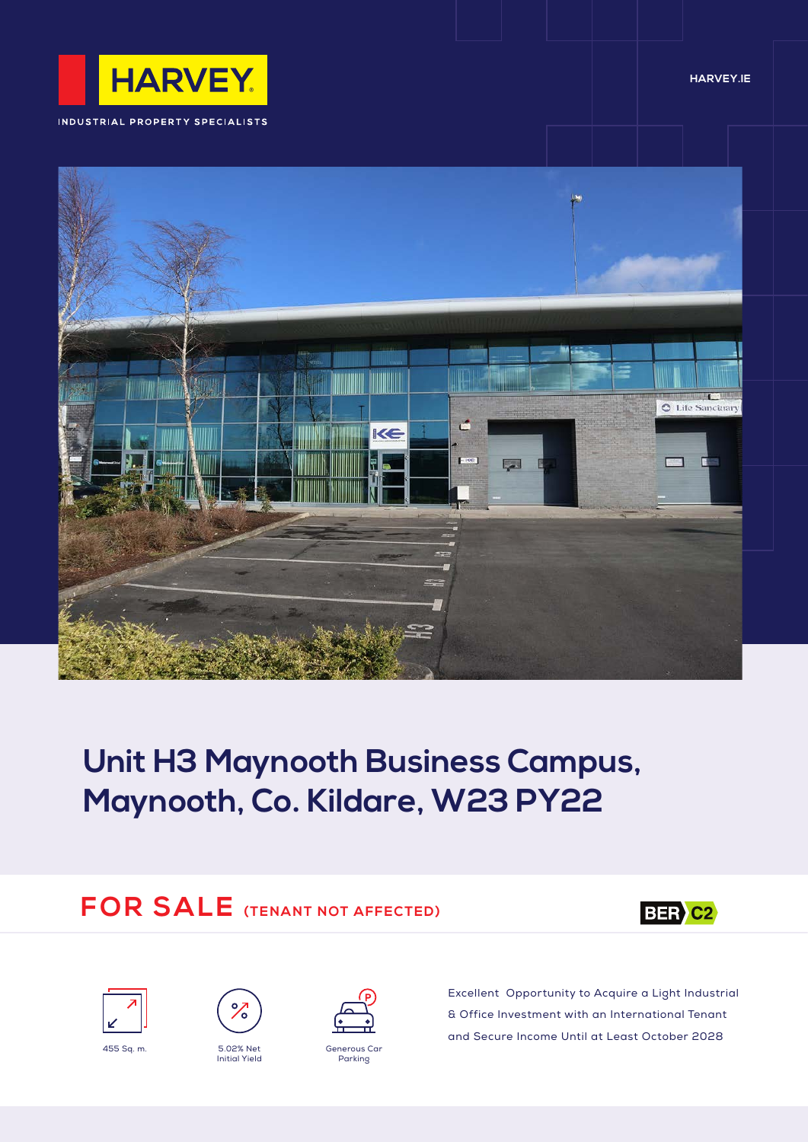

INDUSTRIAL PROPERTY SPECIALISTS





# **Unit H3 Maynooth Business Campus, Maynooth, Co. Kildare, W23 PY22**

## **FOR SALE (TENANT NOT AFFECTED)**







Initial Yield





Excellent Opportunity to Acquire a Light Industrial & Office Investment with an International Tenant and Secure Income Until at Least October 2028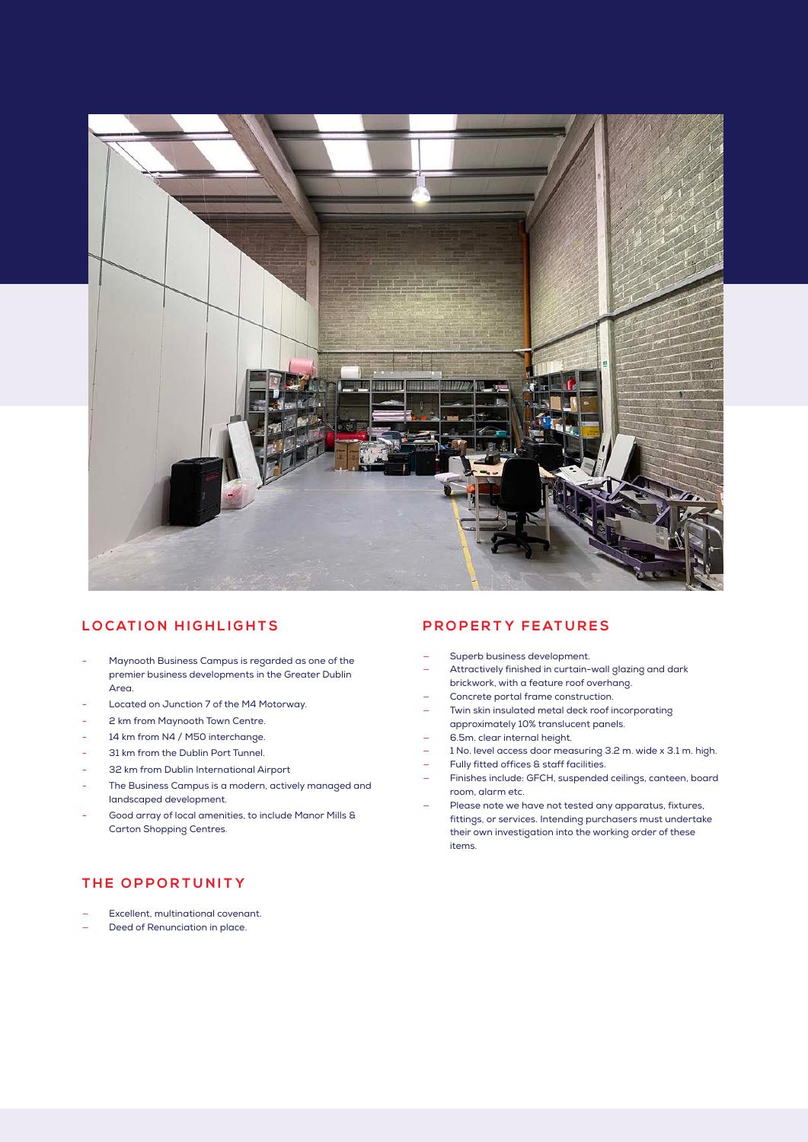

#### **LOCATION HIGHLIGHTS**

- Maynooth Business Campus is regarded as one of the premier business developments in the Greater Dublin Area.
- Located on Junction 7 of the M4 Motorway.
- 2 km from Maynooth Town Centre.
- 14 km from N4 / M50 interchange.
- 31 km from the Dublin Port Tunnel.
- 32 km from Dublin International Airport
- The Business Campus is a modern, actively managed and landscaped development.
- Good array of local amenities, to include Manor Mills & Carton Shopping Centres.

#### **PROPERTY FEATURES**

- Superb business development.
- Attractively finished in curtain-wall glazing and dark brickwork, with a feature roof overhang.
- Concrete portal frame construction.
	- Twin skin insulated metal deck roof incorporating approximately 10% translucent panels.
- 6.5m. clear internal height.
- 1 No. level access door measuring 3.2 m. wide x 3.1 m. high.
- Fully fitted offices & staff facilities.
- Finishes include: GFCH, suspended ceilings, canteen, board room, alarm etc.
- Please note we have not tested any apparatus, fixtures, fittings, or services. Intending purchasers must undertake their own investigation into the working order of these items.

### **THE OPPORTUNITY**

- Excellent, multinational covenant.
- Deed of Renunciation in place.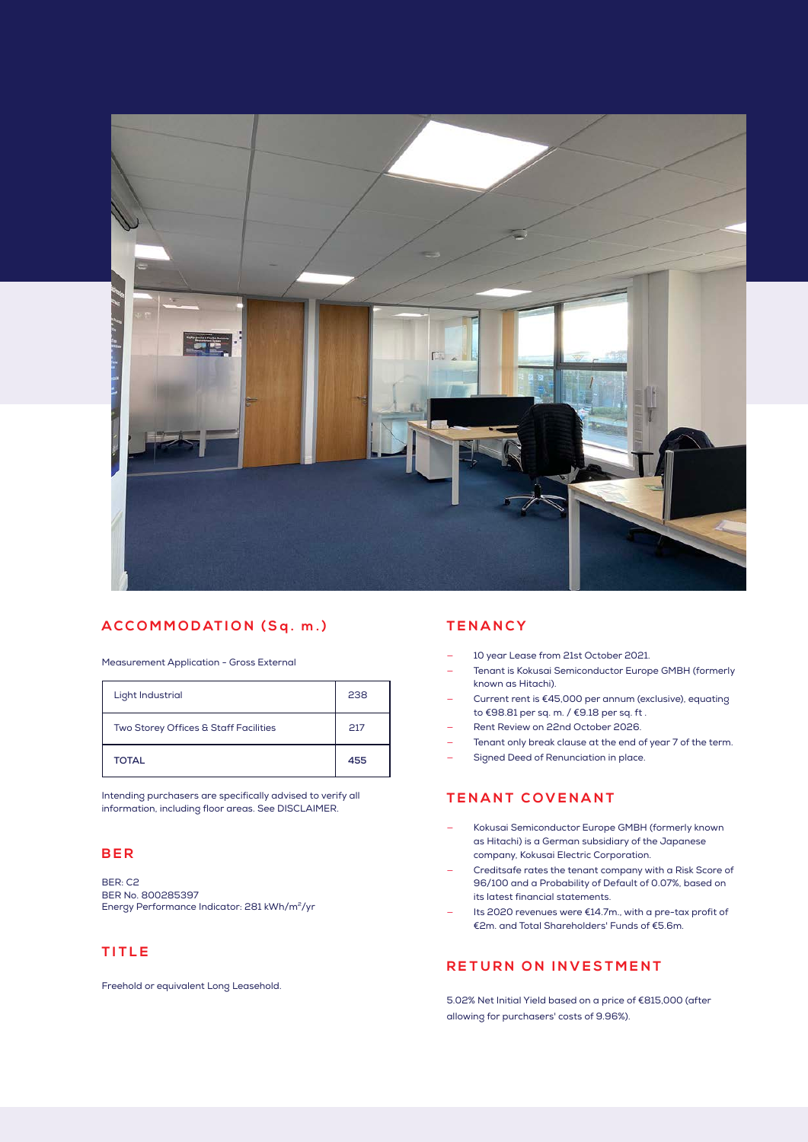

#### **ACCOMMODATION (Sq. m.)**

Measurement Application - Gross External

| Light Industrial                      | 238 |
|---------------------------------------|-----|
| Two Storey Offices & Staff Facilities | 217 |
| <b>TOTAL</b>                          | 455 |

Intending purchasers are specifically advised to verify all information, including floor areas. See DISCLAIMER.

#### **BER**

BER: C2 BER No. 800285397 Energy Performance Indicator: 281 kWh/m<sup>2</sup>/yr

#### **TITLE**

Freehold or equivalent Long Leasehold.

#### **TENANCY**

- 10 year Lease from 21st October 2021.
- Tenant is Kokusai Semiconductor Europe GMBH (formerly known as Hitachi).
- Current rent is €45,000 per annum (exclusive), equating to €98.81 per sq. m. / €9.18 per sq. ft .
- Rent Review on 22nd October 2026.
- Tenant only break clause at the end of year 7 of the term.
- Signed Deed of Renunciation in place.

#### **TENANT COVENANT**

- Kokusai Semiconductor Europe GMBH (formerly known as Hitachi) is a German subsidiary of the Japanese company, Kokusai Electric Corporation.
- Creditsafe rates the tenant company with a Risk Score of 96/100 and a Probability of Default of 0.07%, based on its latest financial statements.
- Its 2020 revenues were €14.7m., with a pre-tax profit of €2m. and Total Shareholders' Funds of €5.6m.

### **RETURN ON INVESTMENT**

5.02% Net Initial Yield based on a price of €815,000 (after allowing for purchasers' costs of 9.96%).